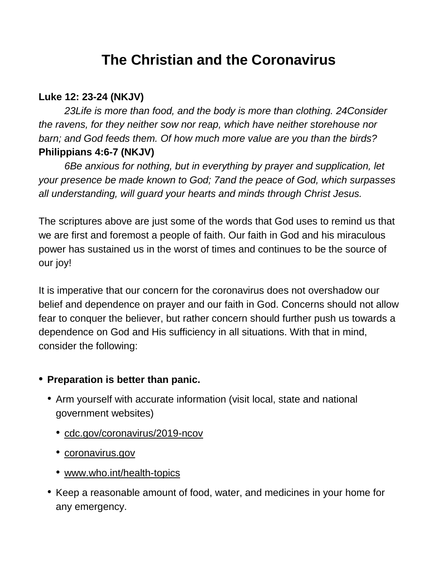# **The Christian and the Coronavirus**

#### **Luke 12: 23-24 (NKJV)**

*23Life is more than food, and the body is more than clothing. 24Consider the ravens, for they neither sow nor reap, which have neither storehouse nor barn; and God feeds them. Of how much more value are you than the birds?* **Philippians 4:6-7 (NKJV)**

*6Be anxious for nothing, but in everything by prayer and supplication, let your presence be made known to God; 7and the peace of God, which surpasses all understanding, will guard your hearts and minds through Christ Jesus.*

The scriptures above are just some of the words that God uses to remind us that we are first and foremost a people of faith. Our faith in God and his miraculous power has sustained us in the worst of times and continues to be the source of our joy!

It is imperative that our concern for the coronavirus does not overshadow our belief and dependence on prayer and our faith in God. Concerns should not allow fear to conquer the believer, but rather concern should further push us towards a dependence on God and His sufficiency in all situations. With that in mind, consider the following:

## • **Preparation is better than panic.**

- Arm yourself with accurate information (visit local, state and national government websites)
	- [cdc.gov/coronavirus/2019-ncov](http://cdc.gov/coronavirus/2019-ncov)
	- [coronavirus.gov](http://coronavirus.gov/)
	- [www.who.int/health-topics](http://www.who.int/health-topics)
- Keep a reasonable amount of food, water, and medicines in your home for any emergency.